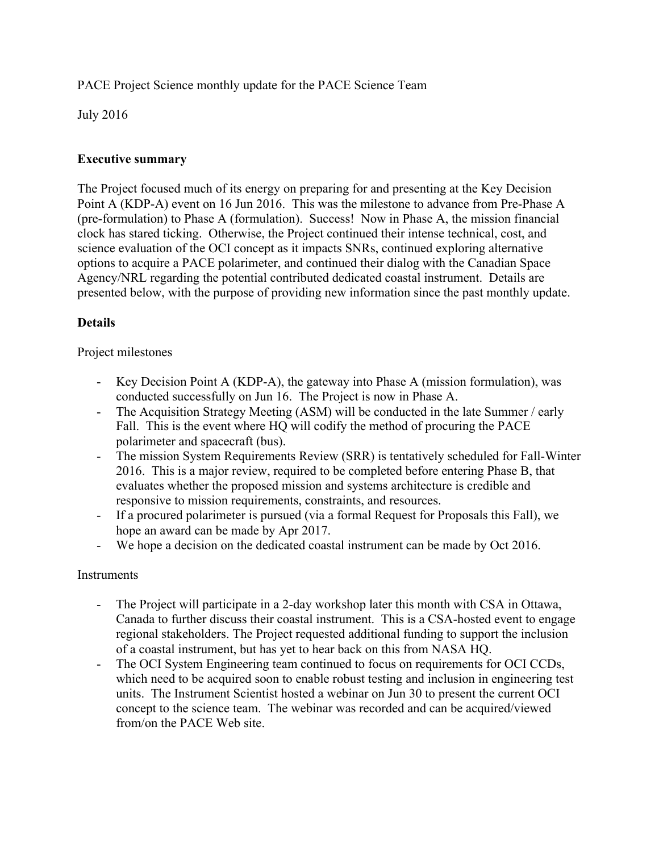PACE Project Science monthly update for the PACE Science Team

July 2016

## **Executive summary**

The Project focused much of its energy on preparing for and presenting at the Key Decision Point A (KDP-A) event on 16 Jun 2016. This was the milestone to advance from Pre-Phase A (pre-formulation) to Phase A (formulation). Success! Now in Phase A, the mission financial clock has stared ticking. Otherwise, the Project continued their intense technical, cost, and science evaluation of the OCI concept as it impacts SNRs, continued exploring alternative options to acquire a PACE polarimeter, and continued their dialog with the Canadian Space Agency/NRL regarding the potential contributed dedicated coastal instrument. Details are presented below, with the purpose of providing new information since the past monthly update.

# **Details**

### Project milestones

- Key Decision Point A (KDP-A), the gateway into Phase A (mission formulation), was conducted successfully on Jun 16. The Project is now in Phase A.
- The Acquisition Strategy Meeting (ASM) will be conducted in the late Summer / early Fall. This is the event where HQ will codify the method of procuring the PACE polarimeter and spacecraft (bus).
- The mission System Requirements Review (SRR) is tentatively scheduled for Fall-Winter 2016. This is a major review, required to be completed before entering Phase B, that evaluates whether the proposed mission and systems architecture is credible and responsive to mission requirements, constraints, and resources.
- If a procured polarimeter is pursued (via a formal Request for Proposals this Fall), we hope an award can be made by Apr 2017.
- We hope a decision on the dedicated coastal instrument can be made by Oct 2016.

## Instruments

- The Project will participate in a 2-day workshop later this month with CSA in Ottawa, Canada to further discuss their coastal instrument. This is a CSA-hosted event to engage regional stakeholders. The Project requested additional funding to support the inclusion of a coastal instrument, but has yet to hear back on this from NASA HQ.
- The OCI System Engineering team continued to focus on requirements for OCI CCDs, which need to be acquired soon to enable robust testing and inclusion in engineering test units. The Instrument Scientist hosted a webinar on Jun 30 to present the current OCI concept to the science team. The webinar was recorded and can be acquired/viewed from/on the PACE Web site.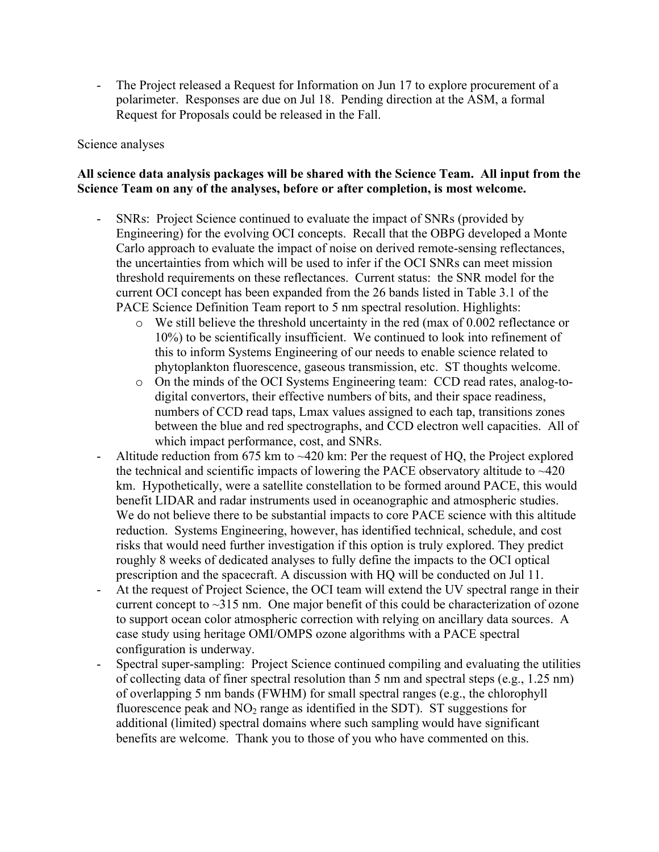The Project released a Request for Information on Jun 17 to explore procurement of a polarimeter. Responses are due on Jul 18. Pending direction at the ASM, a formal Request for Proposals could be released in the Fall.

### Science analyses

### **All science data analysis packages will be shared with the Science Team. All input from the Science Team on any of the analyses, before or after completion, is most welcome.**

- SNRs: Project Science continued to evaluate the impact of SNRs (provided by Engineering) for the evolving OCI concepts. Recall that the OBPG developed a Monte Carlo approach to evaluate the impact of noise on derived remote-sensing reflectances, the uncertainties from which will be used to infer if the OCI SNRs can meet mission threshold requirements on these reflectances. Current status: the SNR model for the current OCI concept has been expanded from the 26 bands listed in Table 3.1 of the PACE Science Definition Team report to 5 nm spectral resolution. Highlights:
	- o We still believe the threshold uncertainty in the red (max of 0.002 reflectance or 10%) to be scientifically insufficient. We continued to look into refinement of this to inform Systems Engineering of our needs to enable science related to phytoplankton fluorescence, gaseous transmission, etc. ST thoughts welcome.
	- o On the minds of the OCI Systems Engineering team: CCD read rates, analog-todigital convertors, their effective numbers of bits, and their space readiness, numbers of CCD read taps, Lmax values assigned to each tap, transitions zones between the blue and red spectrographs, and CCD electron well capacities. All of which impact performance, cost, and SNRs.
- Altitude reduction from 675 km to  $\sim$ 420 km: Per the request of HQ, the Project explored the technical and scientific impacts of lowering the PACE observatory altitude to  $\sim$ 420 km. Hypothetically, were a satellite constellation to be formed around PACE, this would benefit LIDAR and radar instruments used in oceanographic and atmospheric studies. We do not believe there to be substantial impacts to core PACE science with this altitude reduction. Systems Engineering, however, has identified technical, schedule, and cost risks that would need further investigation if this option is truly explored. They predict roughly 8 weeks of dedicated analyses to fully define the impacts to the OCI optical prescription and the spacecraft. A discussion with HQ will be conducted on Jul 11.
- At the request of Project Science, the OCI team will extend the UV spectral range in their current concept to ~315 nm. One major benefit of this could be characterization of ozone to support ocean color atmospheric correction with relying on ancillary data sources. A case study using heritage OMI/OMPS ozone algorithms with a PACE spectral configuration is underway.
- Spectral super-sampling: Project Science continued compiling and evaluating the utilities of collecting data of finer spectral resolution than 5 nm and spectral steps (e.g., 1.25 nm) of overlapping 5 nm bands (FWHM) for small spectral ranges (e.g., the chlorophyll fluorescence peak and  $NO<sub>2</sub>$  range as identified in the SDT). ST suggestions for additional (limited) spectral domains where such sampling would have significant benefits are welcome. Thank you to those of you who have commented on this.